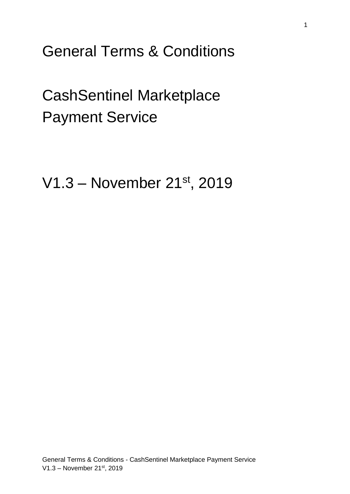General Terms & Conditions

CashSentinel Marketplace Payment Service

V1.3 – November 21st, 2019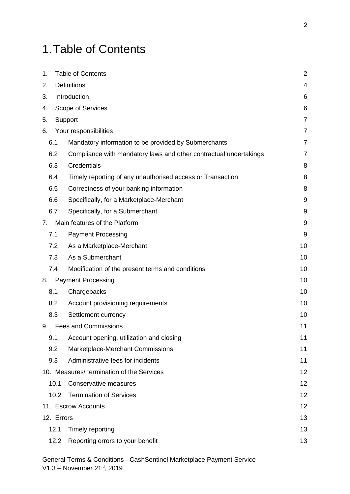# <span id="page-1-0"></span>1.Table of Contents

| 1.                                | <b>Table of Contents</b> |                                                                   | $\overline{2}$ |  |  |
|-----------------------------------|--------------------------|-------------------------------------------------------------------|----------------|--|--|
| 2.                                |                          | <b>Definitions</b>                                                | 4              |  |  |
| 3.                                | Introduction             |                                                                   |                |  |  |
| 4.                                |                          | Scope of Services                                                 | 6              |  |  |
| 5.                                |                          | Support                                                           | $\overline{7}$ |  |  |
| 6.                                |                          | Your responsibilities                                             | $\overline{7}$ |  |  |
| 6.1                               |                          | Mandatory information to be provided by Submerchants              | $\overline{7}$ |  |  |
| 6.2                               |                          | Compliance with mandatory laws and other contractual undertakings | $\overline{7}$ |  |  |
| 6.3                               |                          | Credentials                                                       | 8              |  |  |
| 6.4                               |                          | Timely reporting of any unauthorised access or Transaction        | 8              |  |  |
| 6.5                               |                          | Correctness of your banking information                           | 8              |  |  |
| 6.6                               |                          | Specifically, for a Marketplace-Merchant                          | 9              |  |  |
| 6.7                               |                          | Specifically, for a Submerchant                                   | 9              |  |  |
| 7 <sub>1</sub>                    |                          | Main features of the Platform                                     | 9              |  |  |
| 7.1                               |                          | <b>Payment Processing</b>                                         | 9              |  |  |
| 7.2                               |                          | As a Marketplace-Merchant                                         | 10             |  |  |
| 7.3                               |                          | As a Submerchant                                                  | 10             |  |  |
| 7.4                               |                          | Modification of the present terms and conditions                  | 10             |  |  |
| <b>Payment Processing</b><br>8.   |                          |                                                                   |                |  |  |
| 8.1                               |                          | Chargebacks                                                       | 10             |  |  |
| 8.2                               |                          | Account provisioning requirements                                 | 10             |  |  |
| 8.3                               |                          | Settlement currency                                               | 10             |  |  |
| <b>Fees and Commissions</b><br>9. |                          |                                                                   | 11             |  |  |
| 9.1                               |                          | Account opening, utilization and closing                          | 11             |  |  |
| 9.2                               |                          | Marketplace-Merchant Commissions                                  | 11             |  |  |
| 9.3                               |                          | Administrative fees for incidents                                 | 11             |  |  |
|                                   |                          | 10. Measures/ termination of the Services                         | 12             |  |  |
|                                   | 10.1                     | <b>Conservative measures</b>                                      | 12             |  |  |
|                                   | 10.2                     | <b>Termination of Services</b>                                    | 12             |  |  |
| 11. Escrow Accounts               |                          |                                                                   |                |  |  |
| 13<br>12. Errors                  |                          |                                                                   |                |  |  |
|                                   | 12.1                     | Timely reporting                                                  | 13             |  |  |
|                                   | 12.2                     | Reporting errors to your benefit                                  | 13             |  |  |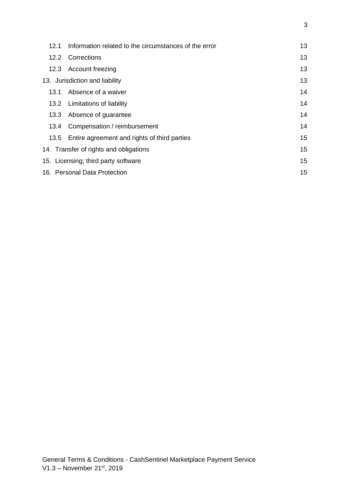| 12.1                                | Information related to the circumstances of the error | 13 |
|-------------------------------------|-------------------------------------------------------|----|
|                                     | 12.2 Corrections                                      | 13 |
|                                     | 12.3 Account freezing                                 | 13 |
|                                     | 13. Jurisdiction and liability                        | 13 |
| 13.1                                | Absence of a waiver                                   | 14 |
|                                     | 13.2 Limitations of liability                         | 14 |
|                                     | 13.3 Absence of guarantee                             | 14 |
|                                     | 13.4 Compensation / reimbursement                     | 14 |
|                                     | 13.5 Entire agreement and rights of third parties     | 15 |
|                                     | 14. Transfer of rights and obligations                | 15 |
| 15. Licensing; third party software |                                                       |    |
| 15<br>16. Personal Data Protection  |                                                       |    |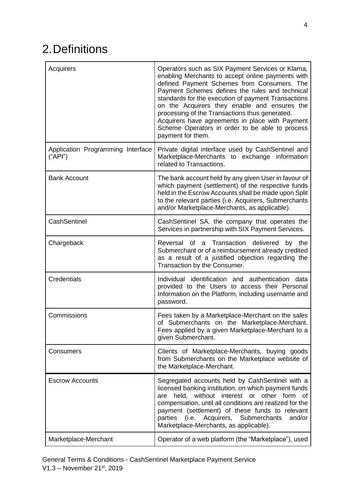# <span id="page-3-0"></span>2.Definitions

| Acquirers                                    | Operators such as SIX Payment Services or Klarna,<br>enabling Merchants to accept online payments with<br>defined Payment Schemes from Consumers. The<br>Payment Schemes defines the rules and technical<br>standards for the execution of payment Transactions<br>on the Acquirers they enable and ensures the<br>processing of the Transactions thus generated.<br>Acquirers have agreements in place with Payment<br>Scheme Operators in order to be able to process<br>payment for them. |
|----------------------------------------------|----------------------------------------------------------------------------------------------------------------------------------------------------------------------------------------------------------------------------------------------------------------------------------------------------------------------------------------------------------------------------------------------------------------------------------------------------------------------------------------------|
| Application Programming Interface<br>("API") | Private digital interface used by CashSentinel and<br>Marketplace-Merchants to exchange information<br>related to Transactions.                                                                                                                                                                                                                                                                                                                                                              |
| <b>Bank Account</b>                          | The bank account held by any given User in favour of<br>which payment (settlement) of the respective funds<br>held in the Escrow Accounts shall be made upon Split<br>to the relevant parties (i.e. Acquirers, Submerchants<br>and/or Marketplace-Merchants, as applicable).                                                                                                                                                                                                                 |
| CashSentinel                                 | CashSentinel SA, the company that operates the<br>Services in partnership with SIX Payment Services.                                                                                                                                                                                                                                                                                                                                                                                         |
| Chargeback                                   | Reversal of a Transaction delivered<br>by the<br>Submerchant or of a reimbursement already credited<br>as a result of a justified objection regarding the<br>Transaction by the Consumer.                                                                                                                                                                                                                                                                                                    |
| Credentials                                  | Individual identification and authentication data<br>provided to the Users to access their Personal<br>Information on the Platform, including username and<br>password.                                                                                                                                                                                                                                                                                                                      |
| Commissions                                  | Fees taken by a Marketplace-Merchant on the sales<br>of Submerchants on the Marketplace-Merchant.<br>Fees applied by a given Marketplace-Merchant to a<br>given Submerchant.                                                                                                                                                                                                                                                                                                                 |
| Consumers                                    | Clients of Marketplace-Merchants, buying goods<br>from Submerchants on the Marketplace website of<br>the Marketplace-Merchant.                                                                                                                                                                                                                                                                                                                                                               |
| <b>Escrow Accounts</b>                       | Segregated accounts held by CashSentinel with a<br>licensed banking institution, on which payment funds<br>held, without interest or other form of<br>are<br>compensation, until all conditions are realized for the<br>payment (settlement) of these funds to relevant<br>Acquirers,<br>Submerchants<br>parties<br>(i.e.<br>and/or<br>Marketplace-Merchants, as applicable).                                                                                                                |
| Marketplace-Merchant                         | Operator of a web platform (the "Marketplace"), used                                                                                                                                                                                                                                                                                                                                                                                                                                         |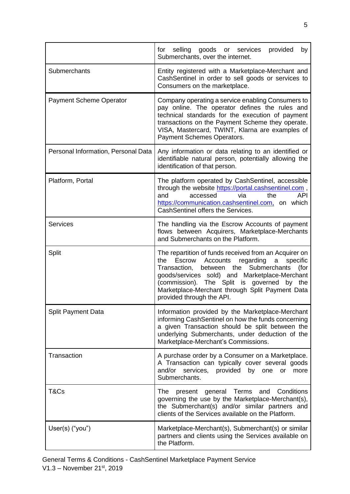|                                     | selling<br>goods or<br>provided<br>for<br>services<br>by<br>Submerchants, over the internet.                                                                                                                                                                                                                                                              |
|-------------------------------------|-----------------------------------------------------------------------------------------------------------------------------------------------------------------------------------------------------------------------------------------------------------------------------------------------------------------------------------------------------------|
| Submerchants                        | Entity registered with a Marketplace-Merchant and<br>CashSentinel in order to sell goods or services to<br>Consumers on the marketplace.                                                                                                                                                                                                                  |
| <b>Payment Scheme Operator</b>      | Company operating a service enabling Consumers to<br>pay online. The operator defines the rules and<br>technical standards for the execution of payment<br>transactions on the Payment Scheme they operate.<br>VISA, Mastercard, TWINT, Klarna are examples of<br>Payment Schemes Operators.                                                              |
| Personal Information, Personal Data | Any information or data relating to an identified or<br>identifiable natural person, potentially allowing the<br>identification of that person.                                                                                                                                                                                                           |
| Platform, Portal                    | The platform operated by CashSentinel, accessible<br>through the website https://portal.cashsentinel.com,<br>via<br>the<br>and<br>accessed<br><b>API</b><br>https://communication.cashsentinel.com, on which<br>CashSentinel offers the Services.                                                                                                         |
| <b>Services</b>                     | The handling via the Escrow Accounts of payment<br>flows between Acquirers, Marketplace-Merchants<br>and Submerchants on the Platform.                                                                                                                                                                                                                    |
| Split                               | The repartition of funds received from an Acquirer on<br>the<br>Accounts<br>regarding<br>Escrow<br>a<br>specific<br>Transaction,<br>between the<br>Submerchants<br>(for<br>goods/services sold) and Marketplace-Merchant<br>(commission). The Split is governed<br>by the<br>Marketplace-Merchant through Split Payment Data<br>provided through the API. |
| <b>Split Payment Data</b>           | Information provided by the Marketplace-Merchant<br>informing CashSentinel on how the funds concerning<br>a given Transaction should be split between the<br>underlying Submerchants, under deduction of the<br>Marketplace-Merchant's Commissions.                                                                                                       |
| Transaction                         | A purchase order by a Consumer on a Marketplace.<br>A Transaction can typically cover several goods<br>and/or<br>services, provided by one<br>more<br><b>or</b><br>Submerchants.                                                                                                                                                                          |
| T&Cs                                | present general Terms<br>Conditions<br>The l<br>and<br>governing the use by the Marketplace-Merchant(s),<br>the Submerchant(s) and/or similar partners and<br>clients of the Services available on the Platform.                                                                                                                                          |
| User(s) ("you")                     | Marketplace-Merchant(s), Submerchant(s) or similar<br>partners and clients using the Services available on<br>the Platform.                                                                                                                                                                                                                               |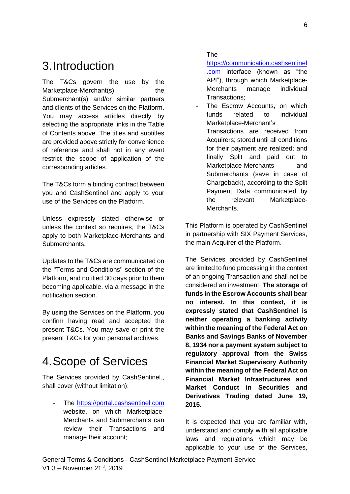## <span id="page-5-0"></span>3.Introduction

The T&Cs govern the use by the Marketplace-Merchant(s), the Submerchant(s) and/or similar partners and clients of the Services on the Platform. You may access articles directly by selecting the appropriate links in the [Table](#page-1-0)  [of Contents](#page-1-0) above. The titles and subtitles are provided above strictly for convenience of reference and shall not in any event restrict the scope of application of the corresponding articles.

The T&Cs form a binding contract between you and CashSentinel and apply to your use of the Services on the Platform.

Unless expressly stated otherwise or unless the context so requires, the T&Cs apply to both Marketplace-Merchants and Submerchants.

Updates to the T&Cs are communicated on the "Terms and Conditions" section of the Platform, and notified 30 days prior to them becoming applicable, via a message in the notification section.

By using the Services on the Platform, you confirm having read and accepted the present T&Cs. You may save or print the present T&Cs for your personal archives.

## <span id="page-5-1"></span>4.Scope of Services

The Services provided by CashSentinel., shall cover (without limitation):

- The [https://portal.cashsentinel.com](https://portal.cashsentinel.com/login) website, on which Marketplace-Merchants and Submerchants can review their Transactions and manage their account;

- The

[https://communication.cashsentinel](https://communication.cashsentinel.com/) [.com](https://communication.cashsentinel.com/) interface (known as "the API"), through which Marketplace-Merchants manage individual Transactions;

The Escrow Accounts, on which funds related to individual Marketplace-Merchant's Transactions are received from Acquirers; stored until all conditions for their payment are realized; and finally Split and paid out to Marketplace-Merchants and Submerchants (save in case of Chargeback), according to the Split Payment Data communicated by the relevant Marketplace-Merchants.

This Platform is operated by CashSentinel in partnership with SIX Payment Services, the main Acquirer of the Platform.

The Services provided by CashSentinel are limited to fund processing in the context of an ongoing Transaction and shall not be considered an investment. **The storage of funds in the Escrow Accounts shall bear no interest. In this context, it is expressly stated that CashSentinel is neither operating a banking activity within the meaning of the Federal Act on Banks and Savings Banks of November 8, 1934 nor a payment system subject to regulatory approval from the Swiss Financial Market Supervisory Authority within the meaning of the Federal Act on Financial Market Infrastructures and Market Conduct in Securities and Derivatives Trading dated June 19, 2015.**

It is expected that you are familiar with, understand and comply with all applicable laws and regulations which may be applicable to your use of the Services,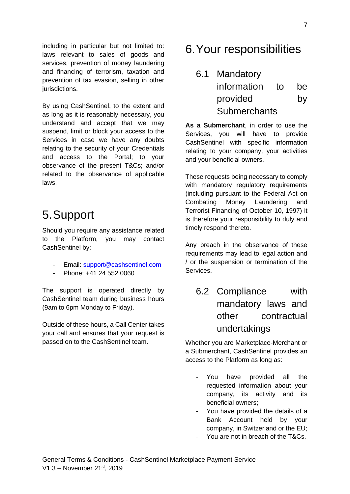including in particular but not limited to: laws relevant to sales of goods and services, prevention of money laundering and financing of terrorism, taxation and prevention of tax evasion, selling in other jurisdictions.

By using CashSentinel, to the extent and as long as it is reasonably necessary, you understand and accept that we may suspend, limit or block your access to the Services in case we have any doubts relating to the security of your Credentials and access to the Portal; to your observance of the present T&Cs; and/or related to the observance of applicable laws.

### <span id="page-6-0"></span>5.Support

Should you require any assistance related to the Platform, you may contact CashSentinel by:

- Email: [support@cashsentinel.com](mailto:support@cashsentinel.com)
- Phone: +41 24 552 0060

The support is operated directly by CashSentinel team during business hours (9am to 6pm Monday to Friday).

Outside of these hours, a Call Center takes your call and ensures that your request is passed on to the CashSentinel team.

## <span id="page-6-1"></span>6.Your responsibilities

<span id="page-6-2"></span>6.1 Mandatory information to be provided by **Submerchants** 

**As a Submerchant**, in order to use the Services, you will have to provide CashSentinel with specific information relating to your company, your activities and your beneficial owners.

These requests being necessary to comply with mandatory regulatory requirements (including pursuant to the Federal Act on Combating Money Laundering and Terrorist Financing of October 10, 1997) it is therefore your responsibility to duly and timely respond thereto.

Any breach in the observance of these requirements may lead to legal action and / or the suspension or termination of the Services.

### <span id="page-6-3"></span>6.2 Compliance with mandatory laws and other contractual undertakings

Whether you are Marketplace-Merchant or a Submerchant, CashSentinel provides an access to the Platform as long as:

- You have provided all the requested information about your company, its activity and its beneficial owners;
- You have provided the details of a Bank Account held by your company, in Switzerland or the EU;
- You are not in breach of the T&Cs.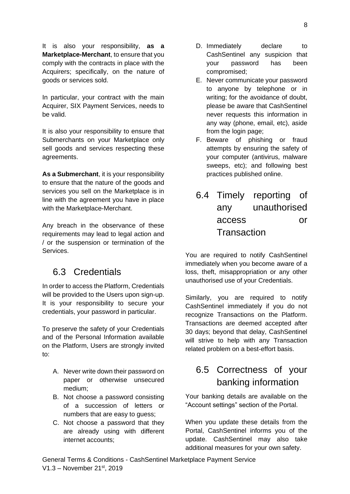It is also your responsibility, **as a Marketplace-Merchant**, to ensure that you comply with the contracts in place with the Acquirers; specifically, on the nature of goods or services sold.

In particular, your contract with the main Acquirer, SIX Payment Services, needs to be valid.

It is also your responsibility to ensure that Submerchants on your Marketplace only sell goods and services respecting these agreements.

**As a Submerchant**, it is your responsibility to ensure that the nature of the goods and services you sell on the Marketplace is in line with the agreement you have in place with the Marketplace-Merchant.

Any breach in the observance of these requirements may lead to legal action and / or the suspension or termination of the Services.

#### <span id="page-7-0"></span>6.3 Credentials

In order to access the Platform, Credentials will be provided to the Users upon sign-up. It is your responsibility to secure your credentials, your password in particular.

To preserve the safety of your Credentials and of the Personal Information available on the Platform, Users are strongly invited to:

- A. Never write down their password on paper or otherwise unsecured medium;
- B. Not choose a password consisting of a succession of letters or numbers that are easy to guess;
- C. Not choose a password that they are already using with different internet accounts;
- D. Immediately declare to CashSentinel any suspicion that your password has been compromised;
- E. Never communicate your password to anyone by telephone or in writing; for the avoidance of doubt, please be aware that CashSentinel never requests this information in any way (phone, email, etc), aside from the login page;
- F. Beware of phishing or fraud attempts by ensuring the safety of your computer (antivirus, malware sweeps, etc); and following best practices published online.
- <span id="page-7-1"></span>6.4 Timely reporting of any unauthorised access or **Transaction**

You are required to notify CashSentinel immediately when you become aware of a loss, theft, misappropriation or any other unauthorised use of your Credentials.

Similarly, you are required to notify CashSentinel immediately if you do not recognize Transactions on the Platform. Transactions are deemed accepted after 30 days; beyond that delay, CashSentinel will strive to help with any Transaction related problem on a best-effort basis.

#### <span id="page-7-2"></span>6.5 Correctness of your banking information

Your banking details are available on the "Account settings" section of the Portal.

When you update these details from the Portal, CashSentinel informs you of the update. CashSentinel may also take additional measures for your own safety.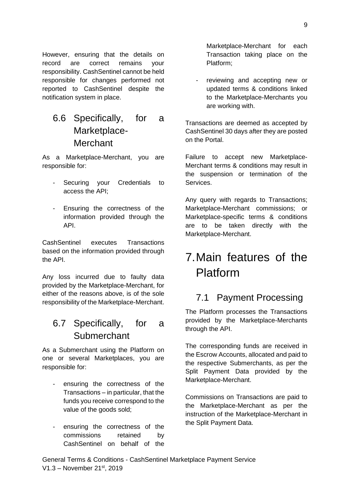However, ensuring that the details on record are correct remains your responsibility. CashSentinel cannot be held responsible for changes performed not reported to CashSentinel despite the notification system in place.

#### <span id="page-8-0"></span>6.6 Specifically, for a Marketplace-**Merchant**

As a Marketplace-Merchant, you are responsible for:

- Securing your Credentials to access the API;
- Ensuring the correctness of the information provided through the API.

CashSentinel executes Transactions based on the information provided through the API.

Any loss incurred due to faulty data provided by the Marketplace-Merchant, for either of the reasons above, is of the sole responsibility of the Marketplace-Merchant.

#### <span id="page-8-1"></span>6.7 Specifically, for a **Submerchant**

As a Submerchant using the Platform on one or several Marketplaces, you are responsible for:

- ensuring the correctness of the Transactions – in particular, that the funds you receive correspond to the value of the goods sold;
- ensuring the correctness of the commissions retained by CashSentinel on behalf of the

Marketplace-Merchant for each Transaction taking place on the Platform;

reviewing and accepting new or updated terms & conditions linked to the Marketplace-Merchants you are working with.

Transactions are deemed as accepted by CashSentinel 30 days after they are posted on the Portal.

Failure to accept new Marketplace-Merchant terms & conditions may result in the suspension or termination of the Services.

Any query with regards to Transactions; Marketplace-Merchant commissions; or Marketplace-specific terms & conditions are to be taken directly with the Marketplace-Merchant.

# <span id="page-8-2"></span>7.Main features of the Platform

#### <span id="page-8-3"></span>7.1 Payment Processing

The Platform processes the Transactions provided by the Marketplace-Merchants through the API.

The corresponding funds are received in the Escrow Accounts, allocated and paid to the respective Submerchants, as per the Split Payment Data provided by the Marketplace-Merchant.

Commissions on Transactions are paid to the Marketplace-Merchant as per the instruction of the Marketplace-Merchant in the Split Payment Data.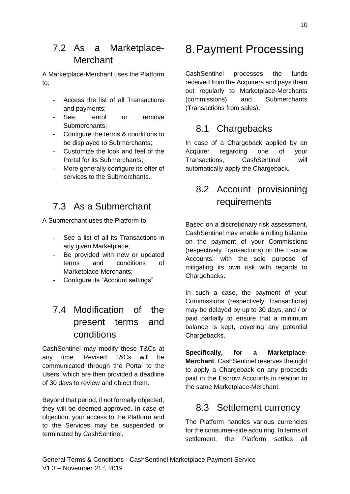#### <span id="page-9-0"></span>7.2 As a Marketplace-Merchant

A Marketplace-Merchant uses the Platform to:

- Access the list of all Transactions and payments;
- See, enrol or remove Submerchants;
- Configure the terms & conditions to be displayed to Submerchants;
- Customize the look and feel of the Portal for its Submerchants;
- More generally configure its offer of services to the Submerchants.

#### <span id="page-9-1"></span>7.3 As a Submerchant

A Submerchant uses the Platform to:

- See a list of all its Transactions in any given Marketplace;
- Be provided with new or updated terms and conditions of Marketplace-Merchants;
- Configure its "Account settings".

#### <span id="page-9-2"></span>7.4 Modification of the present terms and conditions

CashSentinel may modify these T&Cs at any time. Revised T&Cs will be communicated through the Portal to the Users, which are then provided a deadline of 30 days to review and object them.

Beyond that period, if not formally objected, they will be deemed approved. In case of objection, your access to the Platform and to the Services may be suspended or terminated by CashSentinel.

## <span id="page-9-3"></span>8.Payment Processing

CashSentinel processes the funds received from the Acquirers and pays them out regularly to Marketplace-Merchants (commissions) and Submerchants (Transactions from sales).

#### <span id="page-9-4"></span>8.1 Chargebacks

In case of a Chargeback applied by an Acquirer regarding one of your Transactions, CashSentinel will automatically apply the Chargeback.

#### <span id="page-9-5"></span>8.2 Account provisioning requirements

Based on a discretionary risk assessment, CashSentinel may enable a rolling balance on the payment of your Commissions (respectively Transactions) on the Escrow Accounts, with the sole purpose of mitigating its own risk with regards to Chargebacks.

In such a case, the payment of your Commissions (respectively Transactions) may be delayed by up to 30 days, and / or paid partially to ensure that a minimum balance is kept, covering any potential Chargebacks.

**Specifically, for a Marketplace-Merchant**, CashSentinel reserves the right to apply a Chargeback on any proceeds paid in the Escrow Accounts in relation to the same Marketplace-Merchant.

#### <span id="page-9-6"></span>8.3 Settlement currency

The Platform handles various currencies for the consumer-side acquiring. In terms of settlement, the Platform settles all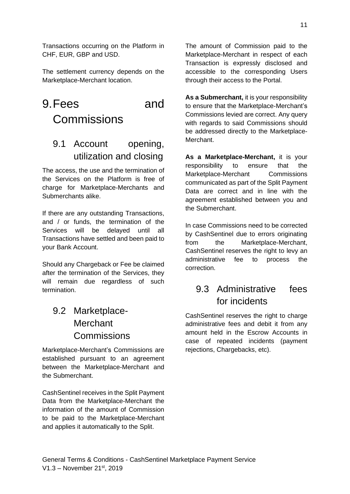Transactions occurring on the Platform in CHF, EUR, GBP and USD.

The settlement currency depends on the Marketplace-Merchant location.

## <span id="page-10-0"></span>9.Fees and Commissions

### <span id="page-10-1"></span>9.1 Account opening, utilization and closing

The access, the use and the termination of the Services on the Platform is free of charge for Marketplace-Merchants and Submerchants alike.

If there are any outstanding Transactions, and / or funds, the termination of the Services will be delayed until all Transactions have settled and been paid to your Bank Account.

Should any Chargeback or Fee be claimed after the termination of the Services, they will remain due regardless of such termination.

### <span id="page-10-2"></span>9.2 Marketplace-**Merchant Commissions**

Marketplace-Merchant's Commissions are established pursuant to an agreement between the Marketplace-Merchant and the Submerchant.

CashSentinel receives in the Split Payment Data from the Marketplace-Merchant the information of the amount of Commission to be paid to the Marketplace-Merchant and applies it automatically to the Split.

The amount of Commission paid to the Marketplace-Merchant in respect of each Transaction is expressly disclosed and accessible to the corresponding Users through their access to the Portal.

**As a Submerchant,** it is your responsibility to ensure that the Marketplace-Merchant's Commissions levied are correct. Any query with regards to said Commissions should be addressed directly to the Marketplace-Merchant.

**As a Marketplace-Merchant,** it is your responsibility to ensure that the Marketplace-Merchant Commissions communicated as part of the Split Payment Data are correct and in line with the agreement established between you and the Submerchant.

In case Commissions need to be corrected by CashSentinel due to errors originating from the Marketplace-Merchant, CashSentinel reserves the right to levy an administrative fee to process the correction.

#### <span id="page-10-3"></span>9.3 Administrative fees for incidents

CashSentinel reserves the right to charge administrative fees and debit it from any amount held in the Escrow Accounts in case of repeated incidents (payment rejections, Chargebacks, etc).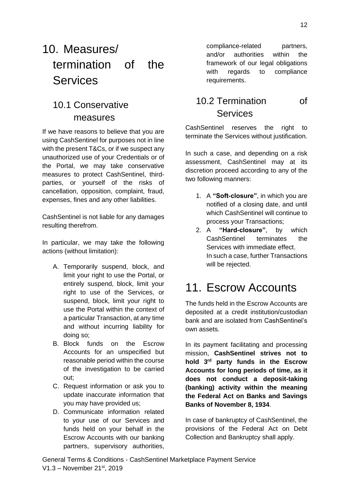# <span id="page-11-0"></span>10. Measures/ termination of the **Services**

#### <span id="page-11-1"></span>10.1 Conservative measures

If we have reasons to believe that you are using CashSentinel for purposes not in line with the present T&Cs, or if we suspect any unauthorized use of your Credentials or of the Portal, we may take conservative measures to protect CashSentinel, thirdparties, or yourself of the risks of cancellation, opposition, complaint, fraud, expenses, fines and any other liabilities.

CashSentinel is not liable for any damages resulting therefrom.

In particular, we may take the following actions (without limitation):

- A. Temporarily suspend, block, and limit your right to use the Portal, or entirely suspend, block, limit your right to use of the Services, or suspend, block, limit your right to use the Portal within the context of a particular Transaction, at any time and without incurring liability for doing so;
- B. Block funds on the Escrow Accounts for an unspecified but reasonable period within the course of the investigation to be carried out;
- C. Request information or ask you to update inaccurate information that you may have provided us;
- D. Communicate information related to your use of our Services and funds held on your behalf in the Escrow Accounts with our banking partners, supervisory authorities,

compliance-related partners, and/or authorities within the framework of our legal obligations with regards to compliance requirements.

#### <span id="page-11-2"></span>10.2 Termination of Services

CashSentinel reserves the right to terminate the Services without justification.

In such a case, and depending on a risk assessment, CashSentinel may at its discretion proceed according to any of the two following manners:

- 1. A **"Soft-closure"**, in which you are notified of a closing date, and until which CashSentinel will continue to process your Transactions;
- 2. A **"Hard-closure"**, by which CashSentinel terminates the Services with immediate effect. In such a case, further Transactions will be rejected.

# <span id="page-11-3"></span>11. Escrow Accounts

The funds held in the Escrow Accounts are deposited at a credit institution/custodian bank and are isolated from CashSentinel's own assets.

In its payment facilitating and processing mission, **CashSentinel strives not to hold 3rd party funds in the Escrow Accounts for long periods of time, as it does not conduct a deposit-taking (banking) activity within the meaning the Federal Act on Banks and Savings Banks of November 8, 1934**.

In case of bankruptcy of CashSentinel, the provisions of the Federal Act on Debt Collection and Bankruptcy shall apply.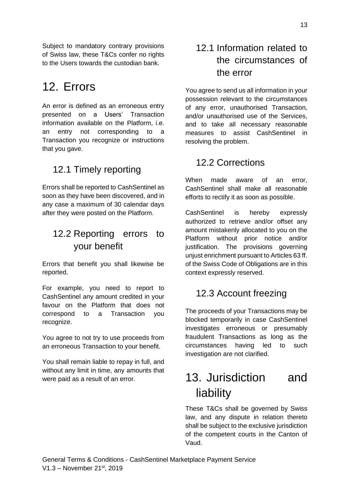Subject to mandatory contrary provisions of Swiss law, these T&Cs confer no rights to the Users towards the custodian bank.

### <span id="page-12-0"></span>12. Errors

An error is defined as an erroneous entry presented on a Users' Transaction information available on the Platform, i.e. an entry not corresponding to a Transaction you recognize or instructions that you gave.

### <span id="page-12-1"></span>12.1 Timely reporting

Errors shall be reported to CashSentinel as soon as they have been discovered, and in any case a maximum of 30 calendar days after they were posted on the Platform.

#### <span id="page-12-2"></span>12.2 Reporting errors to your benefit

Errors that benefit you shall likewise be reported.

For example, you need to report to CashSentinel any amount credited in your favour on the Platform that does not correspond to a Transaction you recognize.

You agree to not try to use proceeds from an erroneous Transaction to your benefit.

You shall remain liable to repay in full, and without any limit in time, any amounts that were paid as a result of an error.

#### <span id="page-12-3"></span>12.1 Information related to the circumstances of the error

You agree to send us all information in your possession relevant to the circumstances of any error, unauthorised Transaction, and/or unauthorised use of the Services, and to take all necessary reasonable measures to assist CashSentinel in resolving the problem.

#### <span id="page-12-4"></span>12.2 Corrections

When made aware of an error, CashSentinel shall make all reasonable efforts to rectify it as soon as possible.

CashSentinel is hereby expressly authorized to retrieve and/or offset any amount mistakenly allocated to you on the Platform without prior notice and/or justification. The provisions governing unjust enrichment pursuant to Articles 63 ff. of the Swiss Code of Obligations are in this context expressly reserved.

#### <span id="page-12-5"></span>12.3 Account freezing

The proceeds of your Transactions may be blocked temporarily in case CashSentinel investigates erroneous or presumably fraudulent Transactions as long as the circumstances having led to such investigation are not clarified.

# <span id="page-12-6"></span>13. Jurisdiction and liability

These T&Cs shall be governed by Swiss law, and any dispute in relation thereto shall be subject to the exclusive jurisdiction of the competent courts in the Canton of Vaud.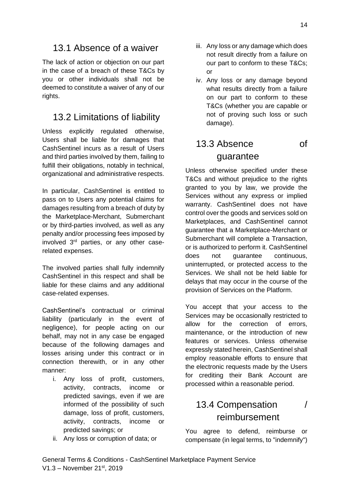#### <span id="page-13-0"></span>13.1 Absence of a waiver

The lack of action or objection on our part in the case of a breach of these T&Cs by you or other individuals shall not be deemed to constitute a waiver of any of our rights.

#### <span id="page-13-1"></span>13.2 Limitations of liability

Unless explicitly regulated otherwise, Users shall be liable for damages that CashSentinel incurs as a result of Users and third parties involved by them, failing to fulfill their obligations, notably in technical, organizational and administrative respects.

In particular, CashSentinel is entitled to pass on to Users any potential claims for damages resulting from a breach of duty by the Marketplace-Merchant, Submerchant or by third-parties involved, as well as any penalty and/or processing fees imposed by involved 3rd parties, or any other caserelated expenses.

The involved parties shall fully indemnify CashSentinel in this respect and shall be liable for these claims and any additional case-related expenses.

CashSentinel's contractual or criminal liability (particularly in the event of negligence), for people acting on our behalf, may not in any case be engaged because of the following damages and losses arising under this contract or in connection therewith, or in any other manner:

- i. Any loss of profit, customers, activity, contracts, income or predicted savings, even if we are informed of the possibility of such damage, loss of profit, customers, activity, contracts, income or predicted savings; or
- ii. Any loss or corruption of data; or
- iii. Any loss or any damage which does not result directly from a failure on our part to conform to these T&Cs; or
- iv. Any loss or any damage beyond what results directly from a failure on our part to conform to these T&Cs (whether you are capable or not of proving such loss or such damage).

### <span id="page-13-2"></span>13.3 Absence of guarantee

Unless otherwise specified under these T&Cs and without prejudice to the rights granted to you by law, we provide the Services without any express or implied warranty. CashSentinel does not have control over the goods and services sold on Marketplaces, and CashSentinel cannot guarantee that a Marketplace-Merchant or Submerchant will complete a Transaction, or is authorized to perform it. CashSentinel does not guarantee continuous, uninterrupted, or protected access to the Services. We shall not be held liable for delays that may occur in the course of the provision of Services on the Platform.

You accept that your access to the Services may be occasionally restricted to allow for the correction of errors, maintenance, or the introduction of new features or services. Unless otherwise expressly stated herein, CashSentinel shall employ reasonable efforts to ensure that the electronic requests made by the Users for crediting their Bank Account are processed within a reasonable period.

#### <span id="page-13-3"></span>13.4 Compensation / reimbursement

You agree to defend, reimburse or compensate (in legal terms, to "indemnify")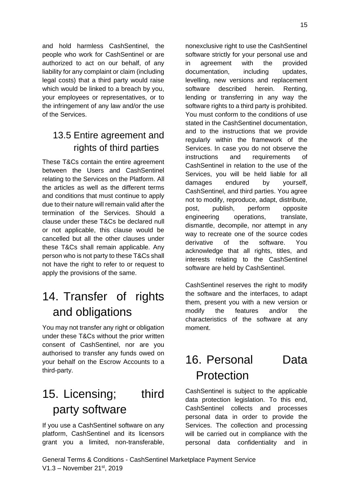and hold harmless CashSentinel, the people who work for CashSentinel or are authorized to act on our behalf, of any liability for any complaint or claim (including legal costs) that a third party would raise which would be linked to a breach by you, your employees or representatives, or to the infringement of any law and/or the use of the Services.

### <span id="page-14-0"></span>13.5 Entire agreement and rights of third parties

These T&Cs contain the entire agreement between the Users and CashSentinel relating to the Services on the Platform. All the articles as well as the different terms and conditions that must continue to apply due to their nature will remain valid after the termination of the Services. Should a clause under these T&Cs be declared null or not applicable, this clause would be cancelled but all the other clauses under these T&Cs shall remain applicable. Any person who is not party to these T&Cs shall not have the right to refer to or request to apply the provisions of the same.

# <span id="page-14-1"></span>14. Transfer of rights and obligations

You may not transfer any right or obligation under these T&Cs without the prior written consent of CashSentinel, nor are you authorised to transfer any funds owed on your behalf on the Escrow Accounts to a third-party.

# <span id="page-14-2"></span>15. Licensing; third party software

If you use a CashSentinel software on any platform, CashSentinel and its licensors grant you a limited, non-transferable, nonexclusive right to use the CashSentinel software strictly for your personal use and in agreement with the provided documentation, including updates, levelling, new versions and replacement software described herein. Renting, lending or transferring in any way the software rights to a third party is prohibited. You must conform to the conditions of use stated in the CashSentinel documentation, and to the instructions that we provide regularly within the framework of the Services. In case you do not observe the instructions and requirements of CashSentinel in relation to the use of the Services, you will be held liable for all damages endured by yourself, CashSentinel, and third parties. You agree not to modify, reproduce, adapt, distribute, post, publish, perform opposite engineering operations, translate, dismantle, decompile, nor attempt in any way to recreate one of the source codes derivative of the software. You acknowledge that all rights, titles, and interests relating to the CashSentinel software are held by CashSentinel.

CashSentinel reserves the right to modify the software and the interfaces, to adapt them, present you with a new version or modify the features and/or the characteristics of the software at any moment.

# <span id="page-14-3"></span>16. Personal Data Protection

CashSentinel is subject to the applicable data protection legislation. To this end, CashSentinel collects and processes personal data in order to provide the Services. The collection and processing will be carried out in compliance with the personal data confidentiality and in